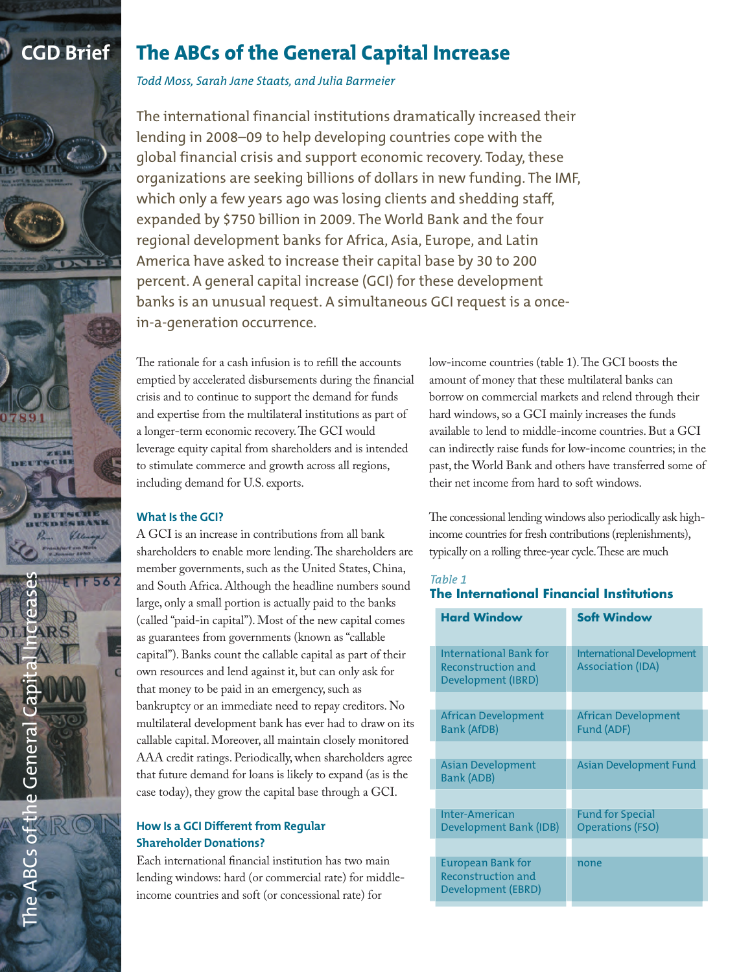





# **CGD Brief The ABCs of the General Capital Increase**

*Todd Moss, Sarah Jane Staats, and Julia Barmeier*

The international financial institutions dramatically increased their lending in 2008–09 to help developing countries cope with the global financial crisis and support economic recovery. Today, these organizations are seeking billions of dollars in new funding. The IMF, which only a few years ago was losing clients and shedding staff, expanded by \$750 billion in 2009. The World Bank and the four regional development banks for Africa, Asia, Europe, and Latin America have asked to increase their capital base by 30 to 200 percent. A general capital increase (GCI) for these development banks is an unusual request. A simultaneous GCI request is a oncein-a-generation occurrence.

The rationale for a cash infusion is to refill the accounts emptied by accelerated disbursements during the financial crisis and to continue to support the demand for funds and expertise from the multilateral institutions as part of a longer-term economic recovery.The GCI would leverage equity capital from shareholders and is intended to stimulate commerce and growth across all regions, including demand for U.S. exports.

# **What Is the GCI?**

A GCI is an increase in contributions from all bank shareholders to enable more lending.The shareholders are member governments, such as the United States, China, and South Africa. Although the headline numbers sound large, only a small portion is actually paid to the banks (called "paid-in capital"). Most of the new capital comes as guarantees from governments (known as "callable capital").Banks count the callable capital as part of their own resources and lend against it, but can only ask for that money to be paid in an emergency, such as bankruptcy or an immediate need to repay creditors. No multilateral development bank has ever had to draw on its callable capital. Moreover, all maintain closely monitored AAA credit ratings. Periodically, when shareholders agree that future demand for loans is likely to expand (as is the case today), they grow the capital base through a GCI.

# **How Is a GCI Different from Regular Shareholder Donations?**

Each international financial institution has two main lending windows: hard (or commercial rate) for middleincome countries and soft (or concessional rate) for

low-income countries (table 1).The GCI boosts the amount of money that these multilateral banks can borrow on commercial markets and relend through their hard windows, so a GCI mainly increases the funds available to lend to middle-income countries.But a GCI can indirectly raise funds for low-income countries; in the past, the World Bank and others have transferred some of their net income from hard to soft windows.

The concessional lending windows also periodically ask highincome countries for fresh contributions (replenishments), typically on a rolling three-year cycle.These are much

# Table 1 **The International Financial Institutions**

| <b>Hard Window</b>                                                   | <b>Soft Window</b>                                           |
|----------------------------------------------------------------------|--------------------------------------------------------------|
| International Bank for<br>Reconstruction and<br>Development (IBRD)   | <b>International Development</b><br><b>Association (IDA)</b> |
|                                                                      |                                                              |
| African Development<br><b>Bank (AfDB)</b>                            | <b>African Development</b><br>Fund (ADF)                     |
|                                                                      |                                                              |
| <b>Asian Development</b><br>Bank (ADB)                               | <b>Asian Development Fund</b>                                |
|                                                                      |                                                              |
| Inter-American<br>Development Bank (IDB)                             | <b>Fund for Special</b><br><b>Operations (FSO)</b>           |
|                                                                      |                                                              |
| European Bank for<br><b>Reconstruction and</b><br>Development (EBRD) | none                                                         |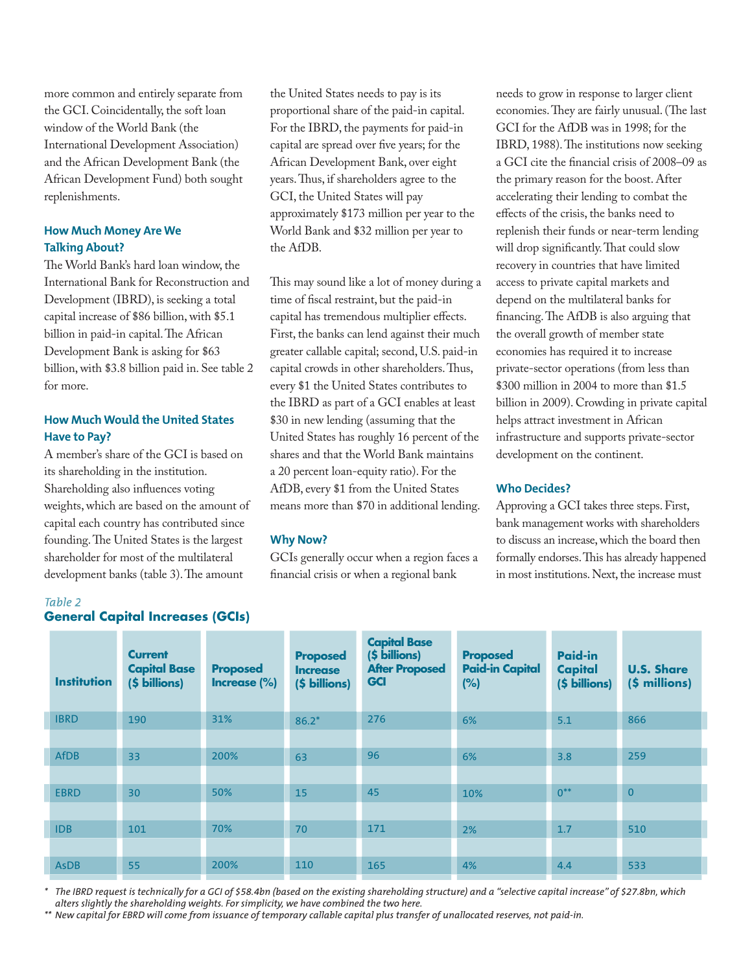more common and entirely separate from the GCI. Coincidentally, the soft loan window of the World Bank (the International Development Association) and the African Development Bank (the African Development Fund) both sought replenishments.

# **How Much Money Are We Talking About?**

The World Bank's hard loan window, the International Bank for Reconstruction and Development (IBRD), is seeking a total capital increase of \$86 billion,with \$5.1 billion in paid-in capital.The African Development Bank is asking for \$63 billion,with \$3.8 billion paid in. See table 2 for more.

# **How Much Would the United States Have to Pay?**

A member's share of the GCI is based on its shareholding in the institution. Shareholding also influences voting weights,which are based on the amount of capital each country has contributed since founding.The United States is the largest shareholder for most of the multilateral development banks (table 3).The amount

the United States needs to pay is its proportional share of the paid-in capital. For the IBRD, the payments for paid-in capital are spread over five years; for the African Development Bank, over eight years.Thus, if shareholders agree to the GCI, the United States will pay approximately \$173 million per year to the World Bank and \$32 million per year to the AfDB.

This may sound like a lot of money during a time of fiscal restraint, but the paid-in capital has tremendous multiplier effects. First, the banks can lend against their much greater callable capital; second, U.S. paid-in capital crowds in other shareholders.Thus, every \$1 the United States contributes to the IBRD as part of a GCI enables at least \$30 in new lending (assuming that the United States has roughly 16 percent of the shares and that the World Bank maintains a 20 percent loan-equity ratio). For the AfDB, every \$1 from the United States means more than \$70 in additional lending.

## **Why Now?**

GCIs generally occur when a region faces a financial crisis or when a regional bank

needs to grow in response to larger client economies.They are fairly unusual.(The last GCI for the AfDB was in 1998; for the IBRD, 1988).The institutions now seeking a GCI cite the financial crisis of 2008–09 as the primary reason for the boost. After accelerating their lending to combat the effects of the crisis, the banks need to replenish their funds or near-term lending will drop significantly.That could slow recovery in countries that have limited access to private capital markets and depend on the multilateral banks for financing.The AfDB is also arguing that the overall growth of member state economies has required it to increase private-sector operations (from less than \$300 million in 2004 to more than \$1.5 billion in 2009). Crowding in private capital helps attract investment in African infrastructure and supports private-sector development on the continent.

## **Who Decides?**

Approving a GCI takes three steps.First, bank management works with shareholders to discuss an increase,which the board then formally endorses.This has already happened in most institutions. Next, the increase must

| <b>Institution</b> | <b>Current</b><br><b>Capital Base</b><br>(\$ billions) | <b>Proposed</b><br>Increase (%) | <b>Proposed</b><br><b>Increase</b><br>(\$ billions) | <b>Capital Base</b><br>(\$ billions)<br><b>After Proposed</b><br><b>GCI</b> | <b>Proposed</b><br><b>Paid-in Capital</b><br>(%) | <b>Paid-in</b><br><b>Capital</b><br>(\$ billions) | <b>U.S. Share</b><br>(\$ millions) |
|--------------------|--------------------------------------------------------|---------------------------------|-----------------------------------------------------|-----------------------------------------------------------------------------|--------------------------------------------------|---------------------------------------------------|------------------------------------|
| <b>IBRD</b>        | 190                                                    | 31%                             | $86.2*$                                             | 276                                                                         | 6%                                               | 5.1                                               | 866                                |
|                    |                                                        |                                 |                                                     |                                                                             |                                                  |                                                   |                                    |
| <b>AfDB</b>        | 33                                                     | 200%                            | 63                                                  | 96                                                                          | 6%                                               | 3.8                                               | 259                                |
|                    |                                                        |                                 |                                                     |                                                                             |                                                  |                                                   |                                    |
| <b>EBRD</b>        | 30                                                     | 50%                             | 15                                                  | 45                                                                          | 10%                                              | $0^{**}$                                          | $\overline{0}$                     |
|                    |                                                        |                                 |                                                     |                                                                             |                                                  |                                                   |                                    |
| <b>IDB</b>         | 101                                                    | 70%                             | 70                                                  | 171                                                                         | 2%                                               | 1.7                                               | 510                                |
|                    |                                                        |                                 |                                                     |                                                                             |                                                  |                                                   |                                    |
| <b>AsDB</b>        | 55                                                     | 200%                            | 110                                                 | 165                                                                         | 4%                                               | 4.4                                               | 533                                |

The IBRD request is technically for a GCI of \$58.4bn (based on the existing shareholding structure) and a "selective capital increase" of \$27.8bn, which *alters slightly the shareholding weights. For simplicity, we have combined the two here.*

\*\* New capital for EBRD will come from issuance of temporary callable capital plus transfer of unallocated reserves, not paid-in.

# **General Capital Increases (GCIs)**

Table 2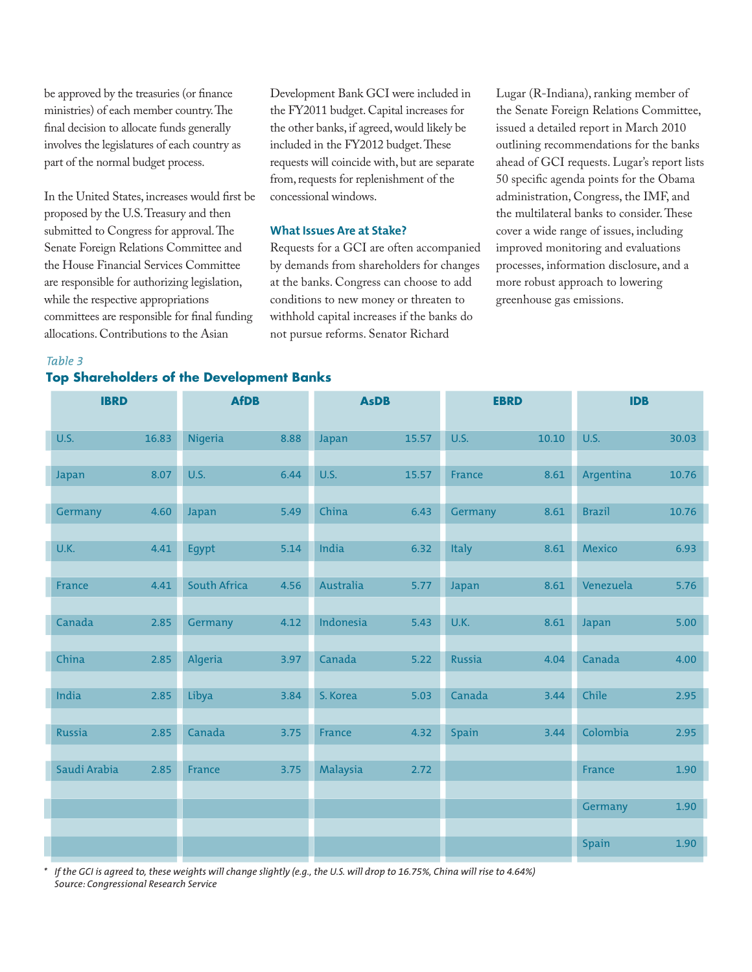be approved by the treasuries (or finance ministries) of each member country.The final decision to allocate funds generally involves the legislatures of each country as part of the normal budget process.

In the United States, increases would first be proposed by the U.S.Treasury and then submitted to Congress for approval.The Senate Foreign Relations Committee and the House Financial Services Committee are responsible for authorizing legislation, while the respective appropriations committees are responsible for final funding allocations. Contributions to the Asian

Development Bank GCI were included in the FY2011 budget. Capital increases for the other banks, if agreed,would likely be included in the FY2012 budget. These requests will coincide with, but are separate from, requests for replenishment of the concessional windows.

### **What Issues Are at Stake?**

Requests for a GCI are often accompanied by demands from shareholders for changes at the banks. Congress can choose to add conditions to new money or threaten to withhold capital increases if the banks do not pursue reforms. Senator Richard

Lugar (R-Indiana), ranking member of the Senate Foreign Relations Committee, issued a detailed report in March 2010 outlining recommendations for the banks ahead of GCI requests. Lugar's report lists 50 specific agenda points for the Obama administration, Congress, the IMF, and the multilateral banks to consider.These cover a wide range of issues, including improved monitoring and evaluations processes, information disclosure, and a more robust approach to lowering greenhouse gas emissions.

#### Table 3

# **Top Shareholders of the Development Banks**

| <b>IBRD</b>   |       | <b>AfDB</b>         |      | <b>AsDB</b> |       | <b>EBRD</b>   |       | <b>IDB</b>    |       |
|---------------|-------|---------------------|------|-------------|-------|---------------|-------|---------------|-------|
| U.S.          | 16.83 | Nigeria             | 8.88 | Japan       | 15.57 | U.S.          | 10.10 | U.S.          | 30.03 |
| <b>Japan</b>  | 8.07  | U.S.                | 6.44 | U.S.        | 15.57 | France        | 8.61  | Argentina     | 10.76 |
| Germany       | 4.60  | Japan               | 5.49 | China       | 6.43  | Germany       | 8.61  | <b>Brazil</b> | 10.76 |
| U.K.          | 4.41  | Egypt               | 5.14 | India       | 6.32  | <b>Italy</b>  | 8.61  | Mexico        | 6.93  |
| France        | 4.41  | <b>South Africa</b> | 4.56 | Australia   | 5.77  | Japan         | 8.61  | Venezuela     | 5.76  |
| Canada        | 2.85  | Germany             | 4.12 | Indonesia   | 5.43  | U.K.          | 8.61  | Japan         | 5.00  |
| China         | 2.85  | Algeria             | 3.97 | Canada      | 5.22  | <b>Russia</b> | 4.04  | Canada        | 4.00  |
| India         | 2.85  | Libya               | 3.84 | S. Korea    | 5.03  | Canada        | 3.44  | Chile         | 2.95  |
| <b>Russia</b> | 2.85  | Canada              | 3.75 | France      | 4.32  | <b>Spain</b>  | 3.44  | Colombia      | 2.95  |
| Saudi Arabia  | 2.85  | France              | 3.75 | Malaysia    | 2.72  |               |       | France        | 1.90  |
|               |       |                     |      |             |       |               |       | Germany       | 1.90  |
|               |       |                     |      |             |       |               |       |               | 1.90  |
|               |       |                     |      |             |       |               |       | <b>Spain</b>  |       |

If the GCI is agreed to, these weights will change slightly (e.g., the U.S. will drop to 16.75%, China will rise to 4.64%) *Source: Congressional Research Service*